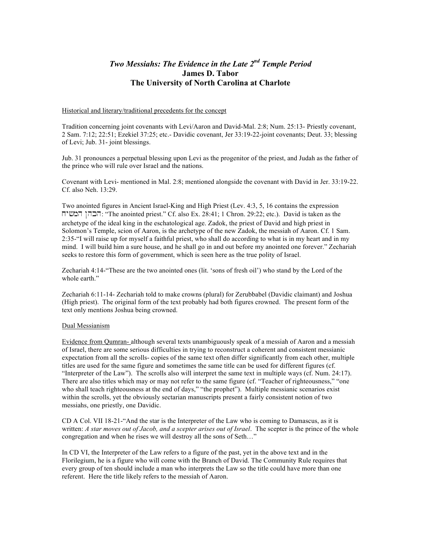# *Two Messiahs: The Evidence in the Late 2nd Temple Period*  **James D. Tabor The University of North Carolina at Charlote**

## Historical and literary/traditional precedents for the concept

Tradition concerning joint covenants with Levi/Aaron and David-Mal. 2:8; Num. 25:13- Priestly covenant, 2 Sam. 7:12; 22:51; Ezekiel 37:25; etc.- Davidic covenant, Jer 33:19-22-joint covenants; Deut. 33; blessing of Levi; Jub. 31- joint blessings.

Jub. 31 pronounces a perpetual blessing upon Levi as the progenitor of the priest, and Judah as the father of the prince who will rule over Israel and the nations.

Covenant with Levi- mentioned in Mal. 2:8; mentioned alongside the covenant with David in Jer. 33:19-22. Cf. also Neh. 13:29.

Two anointed figures in Ancient Israel-King and High Priest (Lev. 4:3, 5, 16 contains the expression xy#mh Nhkh: "The anointed priest." Cf. also Ex. 28:41; 1 Chron. 29:22; etc.). David is taken as the archetype of the ideal king in the eschatological age. Zadok, the priest of David and high priest in Solomon's Temple, scion of Aaron, is the archetype of the new Zadok, the messiah of Aaron. Cf. 1 Sam. 2:35-"I will raise up for myself a faithful priest, who shall do according to what is in my heart and in my mind. I will build him a sure house, and he shall go in and out before my anointed one forever." Zechariah seeks to restore this form of government, which is seen here as the true polity of Israel.

Zechariah 4:14-"These are the two anointed ones (lit. 'sons of fresh oil') who stand by the Lord of the whole earth"

Zechariah 6:11-14- Zechariah told to make crowns (plural) for Zerubbabel (Davidic claimant) and Joshua (High priest). The original form of the text probably had both figures crowned. The present form of the text only mentions Joshua being crowned.

# Dual Messianism

Evidence from Qumran- although several texts unambiguously speak of a messiah of Aaron and a messiah of Israel, there are some serious difficulties in trying to reconstruct a coherent and consistent messianic expectation from all the scrolls- copies of the same text often differ significantly from each other, multiple titles are used for the same figure and sometimes the same title can be used for different figures (cf. "Interpreter of the Law"). The scrolls also will interpret the same text in multiple ways (cf. Num. 24:17). There are also titles which may or may not refer to the same figure (cf. "Teacher of righteousness," "one who shall teach righteousness at the end of days," "the prophet"). Multiple messianic scenarios exist within the scrolls, yet the obviously sectarian manuscripts present a fairly consistent notion of two messiahs, one priestly, one Davidic.

CD A Col. VII 18-21-"And the star is the Interpreter of the Law who is coming to Damascus, as it is written: *A star moves out of Jacob, and a scepter arises out of Israel*. The scepter is the prince of the whole congregation and when he rises we will destroy all the sons of Seth…"

In CD VI, the Interpreter of the Law refers to a figure of the past, yet in the above text and in the Florilegium, he is a figure who will come with the Branch of David. The Community Rule requires that every group of ten should include a man who interprets the Law so the title could have more than one referent. Here the title likely refers to the messiah of Aaron.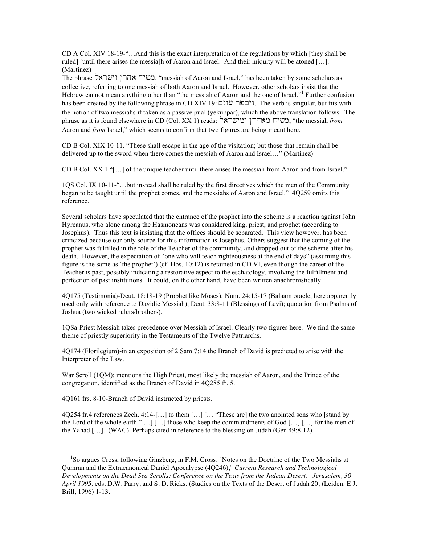CD A Col. XIV 18-19-"…And this is the exact interpretation of the regulations by which [they shall be ruled] [until there arises the messia]h of Aaron and Israel. And their iniquity will be atoned […]. (Martinez)

The phrase רמשיח אהרן וישראל. "messiah of Aaron and Israel," has been taken by some scholars as collective, referring to one messiah of both Aaron and Israel. However, other scholars insist that the Hebrew cannot mean anything other than "the messiah of Aaron and the one of Israel."<sup>1</sup> Further confusion has been created by the following phrase in CD XIV 19: מיכפר עונם . The verb is singular, but fits with the notion of two messiahs if taken as a passive pual (yekuppar), which the above translation follows. The phrase as it is found elsewhere in CD (Col. XX 1) reads: ששיח מאהרן ומישראל, "the messiah *from* Aaron and *from* Israel," which seems to confirm that two figures are being meant here.

CD B Col. XIX 10-11. "These shall escape in the age of the visitation; but those that remain shall be delivered up to the sword when there comes the messiah of Aaron and Israel…" (Martinez)

CD B Col. XX 1 "[…] of the unique teacher until there arises the messiah from Aaron and from Israel."

1QS Col. IX 10-11-"…but instead shall be ruled by the first directives which the men of the Community began to be taught until the prophet comes, and the messiahs of Aaron and Israel." 4Q259 omits this reference.

Several scholars have speculated that the entrance of the prophet into the scheme is a reaction against John Hyrcanus, who alone among the Hasmoneans was considered king, priest, and prophet (according to Josephus). Thus this text is insisting that the offices should be separated. This view however, has been criticized because our only source for this information is Josephus. Others suggest that the coming of the prophet was fulfilled in the role of the Teacher of the community, and dropped out of the scheme after his death. However, the expectation of "one who will teach righteousness at the end of days" (assuming this figure is the same as 'the prophet') (cf. Hos. 10:12) is retained in CD VI, even though the career of the Teacher is past, possibly indicating a restorative aspect to the eschatology, involving the fulfillment and perfection of past institutions. It could, on the other hand, have been written anachronistically.

4Q175 (Testimonia)-Deut. 18:18-19 (Prophet like Moses); Num. 24:15-17 (Balaam oracle, here apparently used only with reference to Davidic Messiah); Deut. 33:8-11 (Blessings of Levi); quotation from Psalms of Joshua (two wicked rulers/brothers).

1QSa-Priest Messiah takes precedence over Messiah of Israel. Clearly two figures here. We find the same theme of priestly superiority in the Testaments of the Twelve Patriarchs.

4Q174 (Florilegium)-in an exposition of 2 Sam 7:14 the Branch of David is predicted to arise with the Interpreter of the Law.

War Scroll (1QM): mentions the High Priest, most likely the messiah of Aaron, and the Prince of the congregation, identified as the Branch of David in 4Q285 fr. 5.

4Q161 frs. 8-10-Branch of David instructed by priests.

 $\overline{a}$ 

4Q254 fr.4 references Zech. 4:14-[…] to them […] [… "These are] the two anointed sons who [stand by the Lord of the whole earth." …] […] those who keep the commandments of God […] […] for the men of the Yahad […]. (WAC) Perhaps cited in reference to the blessing on Judah (Gen 49:8-12).

<sup>&</sup>lt;sup>1</sup>So argues Cross, following Ginzberg, in F.M. Cross, "Notes on the Doctrine of the Two Messiahs at Qumran and the Extracanonical Daniel Apocalypse (4Q246)," *Current Research and Technological Developments on the Dead Sea Scrolls: Conference on the Texts from the Judean Desert. Jerusalem, 30 April 1995*, eds. D.W. Parry, and S. D. Ricks. (Studies on the Texts of the Desert of Judah 20; (Leiden: E.J. Brill, 1996) 1-13.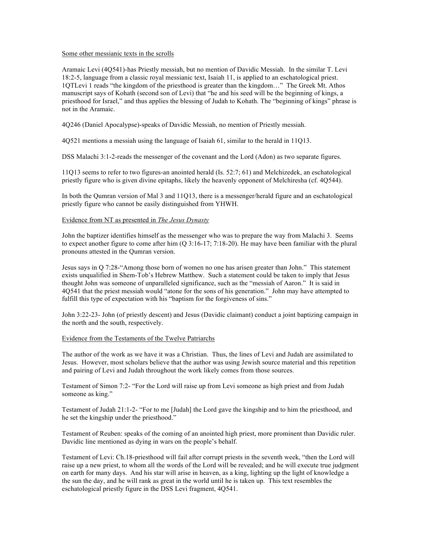### Some other messianic texts in the scrolls

Aramaic Levi (4Q541)-has Priestly messiah, but no mention of Davidic Messiah. In the similar T. Levi 18:2-5, language from a classic royal messianic text, Isaiah 11, is applied to an eschatological priest. 1QTLevi 1 reads "the kingdom of the priesthood is greater than the kingdom…" The Greek Mt. Athos manuscript says of Kohath (second son of Levi) that "he and his seed will be the beginning of kings, a priesthood for Israel," and thus applies the blessing of Judah to Kohath. The "beginning of kings" phrase is not in the Aramaic.

4Q246 (Daniel Apocalypse)-speaks of Davidic Messiah, no mention of Priestly messiah.

4Q521 mentions a messiah using the language of Isaiah 61, similar to the herald in 11Q13.

DSS Malachi 3:1-2-reads the messenger of the covenant and the Lord (Adon) as two separate figures.

11Q13 seems to refer to two figures-an anointed herald (Is. 52:7; 61) and Melchizedek, an eschatological priestly figure who is given divine epitaphs, likely the heavenly opponent of Melchiresha (cf. 4Q544).

In both the Qumran version of Mal 3 and 11Q13, there is a messenger/herald figure and an eschatological priestly figure who cannot be easily distinguished from YHWH.

# Evidence from NT as presented in *The Jesus Dynasty*

John the baptizer identifies himself as the messenger who was to prepare the way from Malachi 3. Seems to expect another figure to come after him (Q 3:16-17; 7:18-20). He may have been familiar with the plural pronouns attested in the Qumran version.

Jesus says in Q 7:28-"Among those born of women no one has arisen greater than John." This statement exists unqualified in Shem-Tob's Hebrew Matthew. Such a statement could be taken to imply that Jesus thought John was someone of unparalleled significance, such as the "messiah of Aaron." It is said in 4Q541 that the priest messiah would "atone for the sons of his generation." John may have attempted to fulfill this type of expectation with his "baptism for the forgiveness of sins."

John 3:22-23- John (of priestly descent) and Jesus (Davidic claimant) conduct a joint baptizing campaign in the north and the south, respectively.

## Evidence from the Testaments of the Twelve Patriarchs

The author of the work as we have it was a Christian. Thus, the lines of Levi and Judah are assimilated to Jesus. However, most scholars believe that the author was using Jewish source material and this repetition and pairing of Levi and Judah throughout the work likely comes from those sources.

Testament of Simon 7:2- "For the Lord will raise up from Levi someone as high priest and from Judah someone as king."

Testament of Judah 21:1-2- "For to me [Judah] the Lord gave the kingship and to him the priesthood, and he set the kingship under the priesthood."

Testament of Reuben: speaks of the coming of an anointed high priest, more prominent than Davidic ruler. Davidic line mentioned as dying in wars on the people's behalf.

Testament of Levi: Ch.18-priesthood will fail after corrupt priests in the seventh week, "then the Lord will raise up a new priest, to whom all the words of the Lord will be revealed; and he will execute true judgment on earth for many days. And his star will arise in heaven, as a king, lighting up the light of knowledge a the sun the day, and he will rank as great in the world until he is taken up. This text resembles the eschatological priestly figure in the DSS Levi fragment, 4Q541.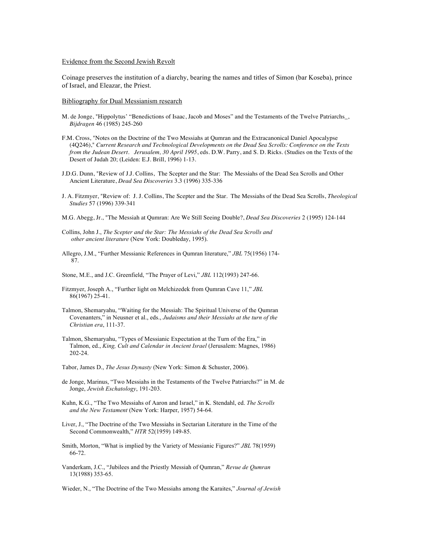#### Evidence from the Second Jewish Revolt

Coinage preserves the institution of a diarchy, bearing the names and titles of Simon (bar Koseba), prince of Israel, and Eleazar, the Priest.

#### Bibliography for Dual Messianism research

- M. de Jonge, "Hippolytus' "Benedictions of Isaac, Jacob and Moses" and the Testaments of the Twelve Patriarchs\_, *Bijdragen* 46 (1985) 245-260
- F.M. Cross, "Notes on the Doctrine of the Two Messiahs at Qumran and the Extracanonical Daniel Apocalypse (4Q246)," *Current Research and Technological Developments on the Dead Sea Scrolls: Conference on the Texts from the Judean Desert. Jerusalem, 30 April 1995*, eds. D.W. Parry, and S. D. Ricks. (Studies on the Texts of the Desert of Judah 20; (Leiden: E.J. Brill, 1996) 1-13.
- J.D.G. Dunn, "Review of J.J. Collins, The Scepter and the Star: The Messiahs of the Dead Sea Scrolls and Other Ancient Literature, *Dead Sea Discoveries* 3.3 (1996) 335-336
- J. A. Fitzmyer, "Review of: J. J. Collins, The Scepter and the Star. The Messiahs of the Dead Sea Scrolls, *Theological Studies* 57 (1996) 339-341
- M.G. Abegg, Jr., "The Messiah at Qumran: Are We Still Seeing Double?, *Dead Sea Discoveries* 2 (1995) 124-144
- Collins, John J., *The Scepter and the Star: The Messiahs of the Dead Sea Scrolls and other ancient literature* (New York: Doubleday, 1995).
- Allegro, J.M., "Further Messianic References in Qumran literature," *JBL* 75(1956) 174- 87.
- Stone, M.E., and J.C. Greenfield, "The Prayer of Levi," *JBL* 112(1993) 247-66.
- Fitzmyer, Joseph A., "Further light on Melchizedek from Qumran Cave 11," *JBL* 86(1967) 25-41.
- Talmon, Shemaryahu, "Waiting for the Messiah: The Spiritual Universe of the Qumran Covenanters," in Neusner et al., eds., *Judaisms and their Messiahs at the turn of the Christian era*, 111-37.
- Talmon, Shemaryahu, "Types of Messianic Expectation at the Turn of the Era," in Talmon, ed., *King, Cult and Calendar in Ancient Israel* (Jerusalem: Magnes, 1986) 202-24.
- Tabor, James D., *The Jesus Dynasty* (New York: Simon & Schuster, 2006).
- de Jonge, Marinus, "Two Messiahs in the Testaments of the Twelve Patriarchs?" in M. de Jonge, *Jewish Eschatology*, 191-203.
- Kuhn, K.G., "The Two Messiahs of Aaron and Israel," in K. Stendahl, ed. *The Scrolls and the New Testament* (New York: Harper, 1957) 54-64.
- Liver, J., "The Doctrine of the Two Messiahs in Sectarian Literature in the Time of the Second Commonwealth," *HTR* 52(1959) 149-85.
- Smith, Morton, "What is implied by the Variety of Messianic Figures?" *JBL* 78(1959) 66-72.
- Vanderkam, J.C., "Jubilees and the Priestly Messiah of Qumran," *Revue de Qumran* 13(1988) 353-65.

Wieder, N., "The Doctrine of the Two Messiahs among the Karaites," *Journal of Jewish*